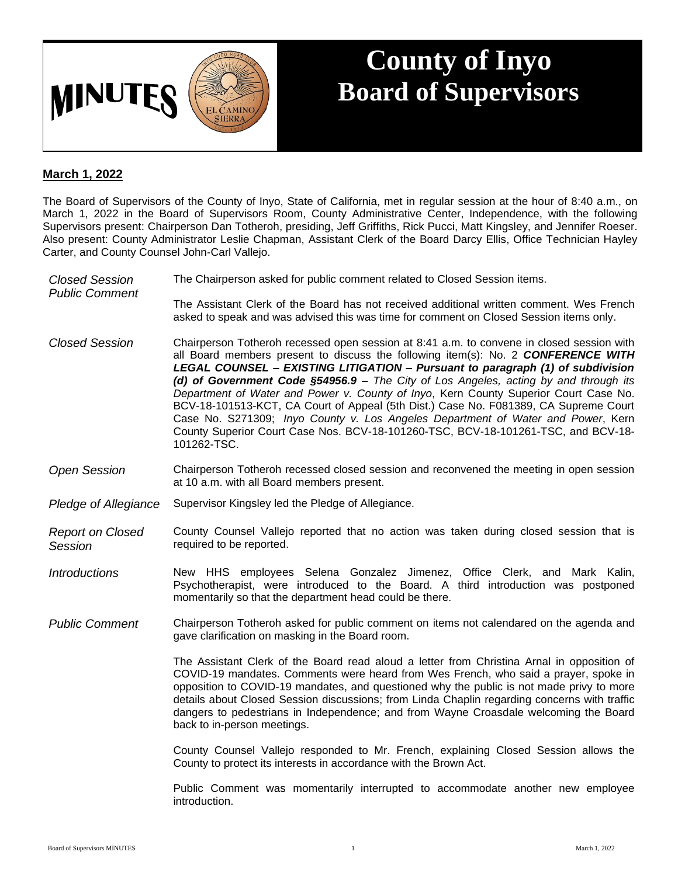

## **County of Inyo Board of Supervisors**

## **March 1, 2022**

The Board of Supervisors of the County of Inyo, State of California, met in regular session at the hour of 8:40 a.m., on March 1, 2022 in the Board of Supervisors Room, County Administrative Center, Independence, with the following Supervisors present: Chairperson Dan Totheroh, presiding, Jeff Griffiths, Rick Pucci, Matt Kingsley, and Jennifer Roeser. Also present: County Administrator Leslie Chapman, Assistant Clerk of the Board Darcy Ellis, Office Technician Hayley Carter, and County Counsel John-Carl Vallejo.

| <b>Closed Session</b><br><b>Public Comment</b> | The Chairperson asked for public comment related to Closed Session items.                                                                                                                                                                                                                                                                                                                                                                                                                                                                                                                                                                                                                                                          |
|------------------------------------------------|------------------------------------------------------------------------------------------------------------------------------------------------------------------------------------------------------------------------------------------------------------------------------------------------------------------------------------------------------------------------------------------------------------------------------------------------------------------------------------------------------------------------------------------------------------------------------------------------------------------------------------------------------------------------------------------------------------------------------------|
|                                                | The Assistant Clerk of the Board has not received additional written comment. Wes French<br>asked to speak and was advised this was time for comment on Closed Session items only.                                                                                                                                                                                                                                                                                                                                                                                                                                                                                                                                                 |
| <b>Closed Session</b>                          | Chairperson Totheroh recessed open session at 8:41 a.m. to convene in closed session with<br>all Board members present to discuss the following item(s): No. 2 CONFERENCE WITH<br>LEGAL COUNSEL - EXISTING LITIGATION - Pursuant to paragraph (1) of subdivision<br>(d) of Government Code $$54956.9 -$ The City of Los Angeles, acting by and through its<br>Department of Water and Power v. County of Inyo, Kern County Superior Court Case No.<br>BCV-18-101513-KCT, CA Court of Appeal (5th Dist.) Case No. F081389, CA Supreme Court<br>Case No. S271309; Inyo County v. Los Angeles Department of Water and Power, Kern<br>County Superior Court Case Nos. BCV-18-101260-TSC, BCV-18-101261-TSC, and BCV-18-<br>101262-TSC. |
| <b>Open Session</b>                            | Chairperson Totheroh recessed closed session and reconvened the meeting in open session<br>at 10 a.m. with all Board members present.                                                                                                                                                                                                                                                                                                                                                                                                                                                                                                                                                                                              |
| Pledge of Allegiance                           | Supervisor Kingsley led the Pledge of Allegiance.                                                                                                                                                                                                                                                                                                                                                                                                                                                                                                                                                                                                                                                                                  |
| <b>Report on Closed</b><br>Session             | County Counsel Vallejo reported that no action was taken during closed session that is<br>required to be reported.                                                                                                                                                                                                                                                                                                                                                                                                                                                                                                                                                                                                                 |
| <b>Introductions</b>                           | New HHS employees Selena Gonzalez Jimenez, Office Clerk, and Mark Kalin,<br>Psychotherapist, were introduced to the Board. A third introduction was postponed<br>momentarily so that the department head could be there.                                                                                                                                                                                                                                                                                                                                                                                                                                                                                                           |
| <b>Public Comment</b>                          | Chairperson Totheroh asked for public comment on items not calendared on the agenda and<br>gave clarification on masking in the Board room.                                                                                                                                                                                                                                                                                                                                                                                                                                                                                                                                                                                        |
|                                                | The Assistant Clerk of the Board read aloud a letter from Christina Arnal in opposition of<br>COVID-19 mandates. Comments were heard from Wes French, who said a prayer, spoke in<br>opposition to COVID-19 mandates, and questioned why the public is not made privy to more<br>details about Closed Session discussions; from Linda Chaplin regarding concerns with traffic<br>dangers to pedestrians in Independence; and from Wayne Croasdale welcoming the Board<br>back to in-person meetings.                                                                                                                                                                                                                               |
|                                                | County Counsel Vallejo responded to Mr. French, explaining Closed Session allows the<br>County to protect its interests in accordance with the Brown Act.                                                                                                                                                                                                                                                                                                                                                                                                                                                                                                                                                                          |
|                                                | Public Comment was momentarily interrupted to accommodate another new employee<br>introduction.                                                                                                                                                                                                                                                                                                                                                                                                                                                                                                                                                                                                                                    |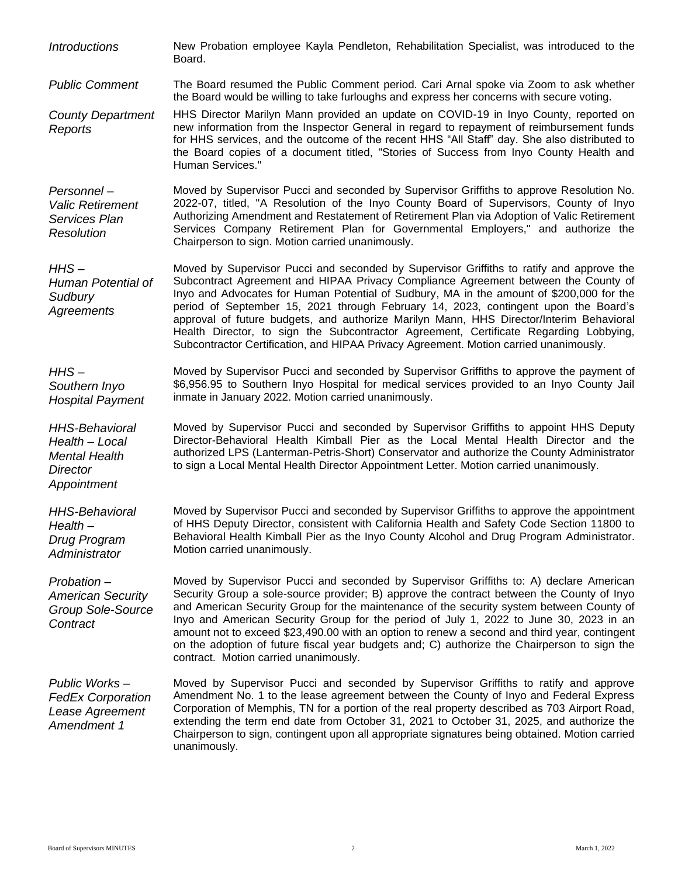*Introductions* New Probation employee Kayla Pendleton, Rehabilitation Specialist, was introduced to the Board.

*Public Comment* The Board resumed the Public Comment period. Cari Arnal spoke via Zoom to ask whether the Board would be willing to take furloughs and express her concerns with secure voting.

*County Department Reports* HHS Director Marilyn Mann provided an update on COVID-19 in Inyo County, reported on new information from the Inspector General in regard to repayment of reimbursement funds for HHS services, and the outcome of the recent HHS "All Staff" day. She also distributed to the Board copies of a document titled, "Stories of Success from Inyo County Health and Human Services."

*Personnel – Valic Retirement Services Plan Resolution* Moved by Supervisor Pucci and seconded by Supervisor Griffiths to approve Resolution No. 2022-07, titled, "A Resolution of the Inyo County Board of Supervisors, County of Inyo Authorizing Amendment and Restatement of Retirement Plan via Adoption of Valic Retirement Services Company Retirement Plan for Governmental Employers," and authorize the Chairperson to sign. Motion carried unanimously.

*HHS – Human Potential of Sudbury Agreements* Moved by Supervisor Pucci and seconded by Supervisor Griffiths to ratify and approve the Subcontract Agreement and HIPAA Privacy Compliance Agreement between the County of Inyo and Advocates for Human Potential of Sudbury, MA in the amount of \$200,000 for the period of September 15, 2021 through February 14, 2023, contingent upon the Board's approval of future budgets, and authorize Marilyn Mann, HHS Director/Interim Behavioral Health Director, to sign the Subcontractor Agreement, Certificate Regarding Lobbying, Subcontractor Certification, and HIPAA Privacy Agreement. Motion carried unanimously.

*HHS – Southern Inyo Hospital Payment* Moved by Supervisor Pucci and seconded by Supervisor Griffiths to approve the payment of \$6,956.95 to Southern Inyo Hospital for medical services provided to an Inyo County Jail inmate in January 2022. Motion carried unanimously.

> Moved by Supervisor Pucci and seconded by Supervisor Griffiths to appoint HHS Deputy Director-Behavioral Health Kimball Pier as the Local Mental Health Director and the authorized LPS (Lanterman-Petris-Short) Conservator and authorize the County Administrator to sign a Local Mental Health Director Appointment Letter. Motion carried unanimously.

Moved by Supervisor Pucci and seconded by Supervisor Griffiths to approve the appointment of HHS Deputy Director, consistent with California Health and Safety Code Section 11800 to Behavioral Health Kimball Pier as the Inyo County Alcohol and Drug Program Administrator. Motion carried unanimously.

Moved by Supervisor Pucci and seconded by Supervisor Griffiths to: A) declare American Security Group a sole-source provider; B) approve the contract between the County of Inyo and American Security Group for the maintenance of the security system between County of Inyo and American Security Group for the period of July 1, 2022 to June 30, 2023 in an amount not to exceed \$23,490.00 with an option to renew a second and third year, contingent on the adoption of future fiscal year budgets and; C) authorize the Chairperson to sign the contract. Motion carried unanimously.

*Public Works – FedEx Corporation Lease Agreement Amendment 1* Moved by Supervisor Pucci and seconded by Supervisor Griffiths to ratify and approve Amendment No. 1 to the lease agreement between the County of Inyo and Federal Express Corporation of Memphis, TN for a portion of the real property described as 703 Airport Road, extending the term end date from October 31, 2021 to October 31, 2025, and authorize the Chairperson to sign, contingent upon all appropriate signatures being obtained. Motion carried unanimously.

*Health – Local Mental Health Director Appointment*

*HHS-Behavioral Health – Drug Program Administrator*

*Probation – American Security Group Sole-Source Contract*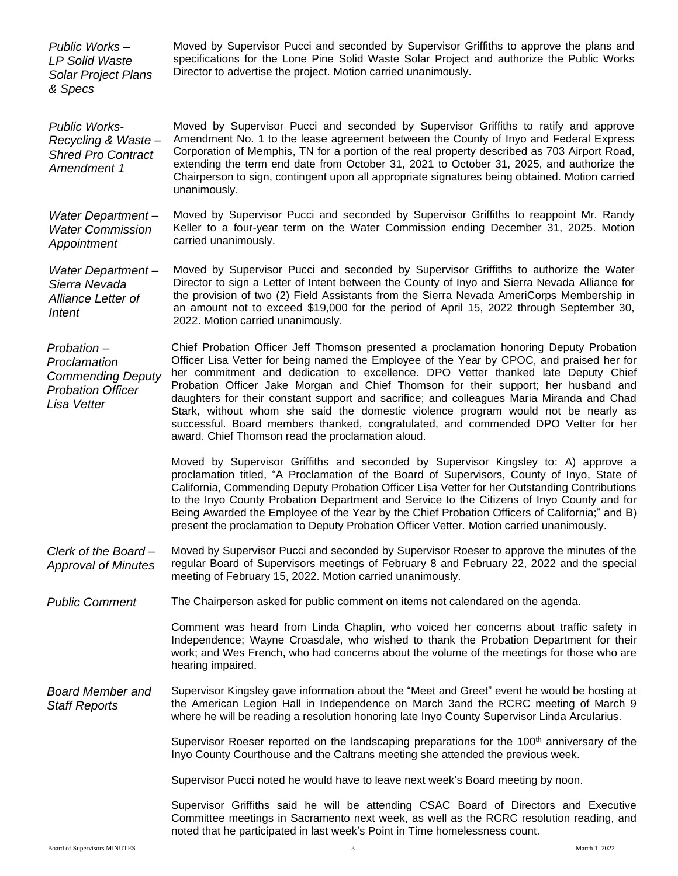| Public Works-<br><b>LP Solid Waste</b><br><b>Solar Project Plans</b><br>& Specs                   | Moved by Supervisor Pucci and seconded by Supervisor Griffiths to approve the plans and<br>specifications for the Lone Pine Solid Waste Solar Project and authorize the Public Works<br>Director to advertise the project. Motion carried unanimously.                                                                                                                                                                                                                                                                                                                                                                                                                                       |
|---------------------------------------------------------------------------------------------------|----------------------------------------------------------------------------------------------------------------------------------------------------------------------------------------------------------------------------------------------------------------------------------------------------------------------------------------------------------------------------------------------------------------------------------------------------------------------------------------------------------------------------------------------------------------------------------------------------------------------------------------------------------------------------------------------|
| <b>Public Works-</b><br>Recycling & Waste-<br><b>Shred Pro Contract</b><br>Amendment 1            | Moved by Supervisor Pucci and seconded by Supervisor Griffiths to ratify and approve<br>Amendment No. 1 to the lease agreement between the County of Inyo and Federal Express<br>Corporation of Memphis, TN for a portion of the real property described as 703 Airport Road,<br>extending the term end date from October 31, 2021 to October 31, 2025, and authorize the<br>Chairperson to sign, contingent upon all appropriate signatures being obtained. Motion carried<br>unanimously.                                                                                                                                                                                                  |
| Water Department-<br><b>Water Commission</b><br>Appointment                                       | Moved by Supervisor Pucci and seconded by Supervisor Griffiths to reappoint Mr. Randy<br>Keller to a four-year term on the Water Commission ending December 31, 2025. Motion<br>carried unanimously.                                                                                                                                                                                                                                                                                                                                                                                                                                                                                         |
| <b>Water Department-</b><br>Sierra Nevada<br>Alliance Letter of<br>Intent                         | Moved by Supervisor Pucci and seconded by Supervisor Griffiths to authorize the Water<br>Director to sign a Letter of Intent between the County of Inyo and Sierra Nevada Alliance for<br>the provision of two (2) Field Assistants from the Sierra Nevada AmeriCorps Membership in<br>an amount not to exceed \$19,000 for the period of April 15, 2022 through September 30,<br>2022. Motion carried unanimously.                                                                                                                                                                                                                                                                          |
| Probation-<br>Proclamation<br><b>Commending Deputy</b><br><b>Probation Officer</b><br>Lisa Vetter | Chief Probation Officer Jeff Thomson presented a proclamation honoring Deputy Probation<br>Officer Lisa Vetter for being named the Employee of the Year by CPOC, and praised her for<br>her commitment and dedication to excellence. DPO Vetter thanked late Deputy Chief<br>Probation Officer Jake Morgan and Chief Thomson for their support; her husband and<br>daughters for their constant support and sacrifice; and colleagues Maria Miranda and Chad<br>Stark, without whom she said the domestic violence program would not be nearly as<br>successful. Board members thanked, congratulated, and commended DPO Vetter for her<br>award. Chief Thomson read the proclamation aloud. |
|                                                                                                   | Moved by Supervisor Griffiths and seconded by Supervisor Kingsley to: A) approve a<br>proclamation titled, "A Proclamation of the Board of Supervisors, County of Inyo, State of<br>California, Commending Deputy Probation Officer Lisa Vetter for her Outstanding Contributions<br>to the Inyo County Probation Department and Service to the Citizens of Inyo County and for<br>Being Awarded the Employee of the Year by the Chief Probation Officers of California;" and B)<br>present the proclamation to Deputy Probation Officer Vetter. Motion carried unanimously.                                                                                                                 |
| Clerk of the Board-<br><b>Approval of Minutes</b>                                                 | Moved by Supervisor Pucci and seconded by Supervisor Roeser to approve the minutes of the<br>regular Board of Supervisors meetings of February 8 and February 22, 2022 and the special<br>meeting of February 15, 2022. Motion carried unanimously.                                                                                                                                                                                                                                                                                                                                                                                                                                          |
| <b>Public Comment</b>                                                                             | The Chairperson asked for public comment on items not calendared on the agenda.                                                                                                                                                                                                                                                                                                                                                                                                                                                                                                                                                                                                              |
|                                                                                                   | Comment was heard from Linda Chaplin, who voiced her concerns about traffic safety in<br>Independence; Wayne Croasdale, who wished to thank the Probation Department for their<br>work; and Wes French, who had concerns about the volume of the meetings for those who are<br>hearing impaired.                                                                                                                                                                                                                                                                                                                                                                                             |
| <b>Board Member and</b><br><b>Staff Reports</b>                                                   | Supervisor Kingsley gave information about the "Meet and Greet" event he would be hosting at<br>the American Legion Hall in Independence on March 3and the RCRC meeting of March 9<br>where he will be reading a resolution honoring late Inyo County Supervisor Linda Arcularius.                                                                                                                                                                                                                                                                                                                                                                                                           |
|                                                                                                   | Supervisor Roeser reported on the landscaping preparations for the 100 <sup>th</sup> anniversary of the<br>Inyo County Courthouse and the Caltrans meeting she attended the previous week.                                                                                                                                                                                                                                                                                                                                                                                                                                                                                                   |
|                                                                                                   | Supervisor Pucci noted he would have to leave next week's Board meeting by noon.                                                                                                                                                                                                                                                                                                                                                                                                                                                                                                                                                                                                             |
|                                                                                                   | Supervisor Griffiths said he will be attending CSAC Board of Directors and Executive<br>Committee meetings in Sacramento next week, as well as the RCRC resolution reading, and<br>noted that he participated in last week's Point in Time homelessness count.                                                                                                                                                                                                                                                                                                                                                                                                                               |